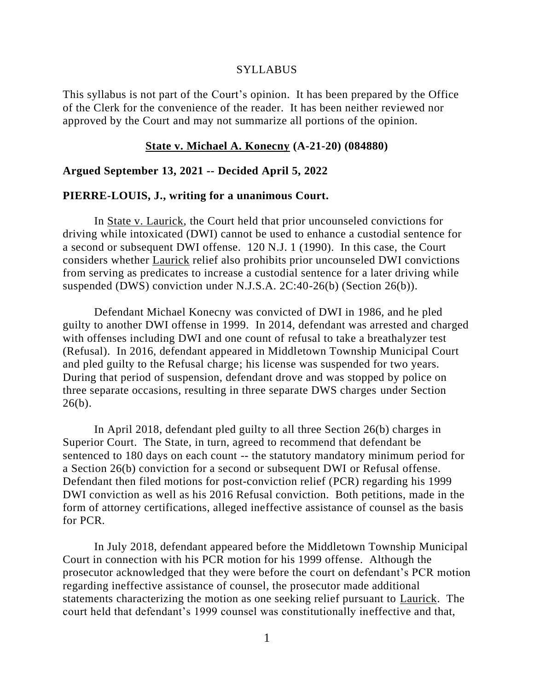#### SYLLABUS

This syllabus is not part of the Court's opinion. It has been prepared by the Office of the Clerk for the convenience of the reader. It has been neither reviewed nor approved by the Court and may not summarize all portions of the opinion.

### **State v. Michael A. Konecny (A-21-20) (084880)**

### **Argued September 13, 2021 -- Decided April 5, 2022**

#### **PIERRE-LOUIS, J., writing for a unanimous Court.**

In State v. Laurick, the Court held that prior uncounseled convictions for driving while intoxicated (DWI) cannot be used to enhance a custodial sentence for a second or subsequent DWI offense. 120 N.J. 1 (1990). In this case, the Court considers whether Laurick relief also prohibits prior uncounseled DWI convictions from serving as predicates to increase a custodial sentence for a later driving while suspended (DWS) conviction under N.J.S.A. 2C:40-26(b) (Section 26(b)).

Defendant Michael Konecny was convicted of DWI in 1986, and he pled guilty to another DWI offense in 1999. In 2014, defendant was arrested and charged with offenses including DWI and one count of refusal to take a breathalyzer test (Refusal). In 2016, defendant appeared in Middletown Township Municipal Court and pled guilty to the Refusal charge; his license was suspended for two years. During that period of suspension, defendant drove and was stopped by police on three separate occasions, resulting in three separate DWS charges under Section  $26(b)$ .

In April 2018, defendant pled guilty to all three Section 26(b) charges in Superior Court. The State, in turn, agreed to recommend that defendant be sentenced to 180 days on each count -- the statutory mandatory minimum period for a Section 26(b) conviction for a second or subsequent DWI or Refusal offense. Defendant then filed motions for post-conviction relief (PCR) regarding his 1999 DWI conviction as well as his 2016 Refusal conviction. Both petitions, made in the form of attorney certifications, alleged ineffective assistance of counsel as the basis for PCR.

In July 2018, defendant appeared before the Middletown Township Municipal Court in connection with his PCR motion for his 1999 offense. Although the prosecutor acknowledged that they were before the court on defendant's PCR motion regarding ineffective assistance of counsel, the prosecutor made additional statements characterizing the motion as one seeking relief pursuant to Laurick. The court held that defendant's 1999 counsel was constitutionally ineffective and that,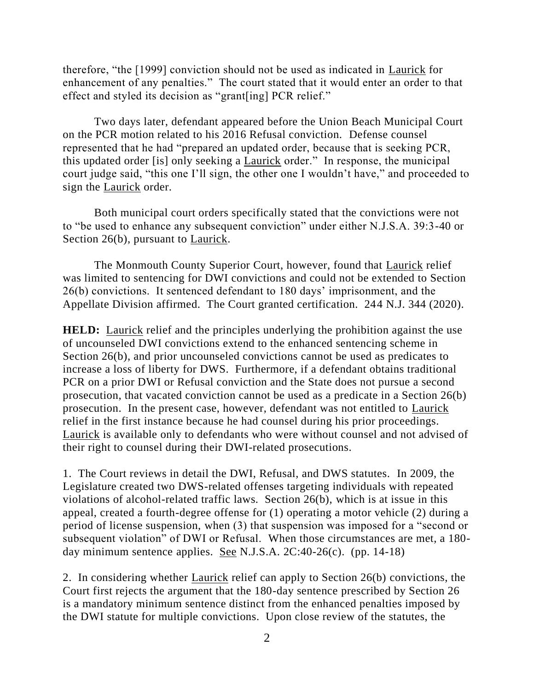therefore, "the [1999] conviction should not be used as indicated in Laurick for enhancement of any penalties." The court stated that it would enter an order to that effect and styled its decision as "grant[ing] PCR relief."

Two days later, defendant appeared before the Union Beach Municipal Court on the PCR motion related to his 2016 Refusal conviction. Defense counsel represented that he had "prepared an updated order, because that is seeking PCR, this updated order [is] only seeking a Laurick order." In response, the municipal court judge said, "this one I'll sign, the other one I wouldn't have," and proceeded to sign the Laurick order.

Both municipal court orders specifically stated that the convictions were not to "be used to enhance any subsequent conviction" under either N.J.S.A. 39:3-40 or Section 26(b), pursuant to Laurick.

The Monmouth County Superior Court, however, found that Laurick relief was limited to sentencing for DWI convictions and could not be extended to Section 26(b) convictions. It sentenced defendant to 180 days' imprisonment, and the Appellate Division affirmed. The Court granted certification. 244 N.J. 344 (2020).

**HELD:** Laurick relief and the principles underlying the prohibition against the use of uncounseled DWI convictions extend to the enhanced sentencing scheme in Section 26(b), and prior uncounseled convictions cannot be used as predicates to increase a loss of liberty for DWS. Furthermore, if a defendant obtains traditional PCR on a prior DWI or Refusal conviction and the State does not pursue a second prosecution, that vacated conviction cannot be used as a predicate in a Section 26(b) prosecution. In the present case, however, defendant was not entitled to Laurick relief in the first instance because he had counsel during his prior proceedings. Laurick is available only to defendants who were without counsel and not advised of their right to counsel during their DWI-related prosecutions.

1. The Court reviews in detail the DWI, Refusal, and DWS statutes. In 2009, the Legislature created two DWS-related offenses targeting individuals with repeated violations of alcohol-related traffic laws. Section 26(b), which is at issue in this appeal, created a fourth-degree offense for (1) operating a motor vehicle (2) during a period of license suspension, when (3) that suspension was imposed for a "second or subsequent violation" of DWI or Refusal. When those circumstances are met, a 180 day minimum sentence applies. <u>See</u> N.J.S.A. 2C:40-26(c). (pp. 14-18)

2. In considering whether Laurick relief can apply to Section 26(b) convictions, the Court first rejects the argument that the 180-day sentence prescribed by Section 26 is a mandatory minimum sentence distinct from the enhanced penalties imposed by the DWI statute for multiple convictions. Upon close review of the statutes, the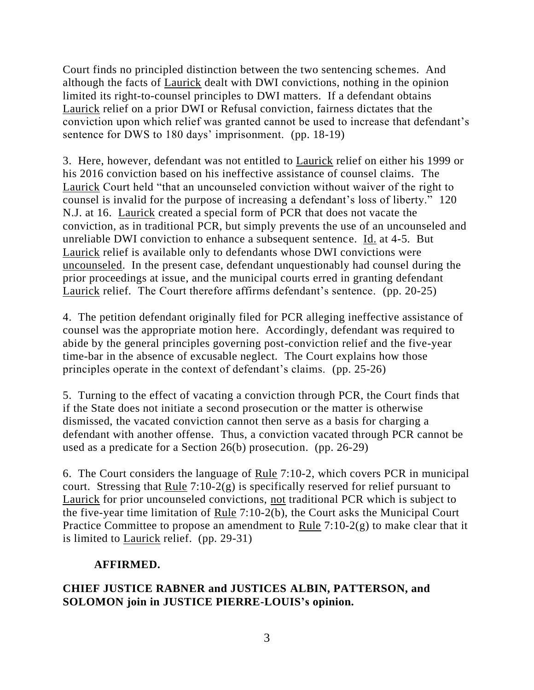Court finds no principled distinction between the two sentencing schemes. And although the facts of Laurick dealt with DWI convictions, nothing in the opinion limited its right-to-counsel principles to DWI matters. If a defendant obtains Laurick relief on a prior DWI or Refusal conviction, fairness dictates that the conviction upon which relief was granted cannot be used to increase that defendant's sentence for DWS to 180 days' imprisonment. (pp. 18-19)

3. Here, however, defendant was not entitled to Laurick relief on either his 1999 or his 2016 conviction based on his ineffective assistance of counsel claims. The Laurick Court held "that an uncounseled conviction without waiver of the right to counsel is invalid for the purpose of increasing a defendant's loss of liberty." 120 N.J. at 16. Laurick created a special form of PCR that does not vacate the conviction, as in traditional PCR, but simply prevents the use of an uncounseled and unreliable DWI conviction to enhance a subsequent sentence. Id. at 4-5. But Laurick relief is available only to defendants whose DWI convictions were uncounseled. In the present case, defendant unquestionably had counsel during the prior proceedings at issue, and the municipal courts erred in granting defendant Laurick relief. The Court therefore affirms defendant's sentence. (pp. 20-25)

4. The petition defendant originally filed for PCR alleging ineffective assistance of counsel was the appropriate motion here. Accordingly, defendant was required to abide by the general principles governing post-conviction relief and the five-year time-bar in the absence of excusable neglect. The Court explains how those principles operate in the context of defendant's claims. (pp. 25-26)

5. Turning to the effect of vacating a conviction through PCR, the Court finds that if the State does not initiate a second prosecution or the matter is otherwise dismissed, the vacated conviction cannot then serve as a basis for charging a defendant with another offense. Thus, a conviction vacated through PCR cannot be used as a predicate for a Section 26(b) prosecution. (pp. 26-29)

6. The Court considers the language of Rule 7:10-2, which covers PCR in municipal court. Stressing that Rule 7:10-2(g) is specifically reserved for relief pursuant to Laurick for prior uncounseled convictions, not traditional PCR which is subject to the five-year time limitation of Rule 7:10-2(b), the Court asks the Municipal Court Practice Committee to propose an amendment to Rule 7:10-2(g) to make clear that it is limited to Laurick relief. (pp. 29-31)

# **AFFIRMED.**

# **CHIEF JUSTICE RABNER and JUSTICES ALBIN, PATTERSON, and SOLOMON join in JUSTICE PIERRE-LOUIS's opinion.**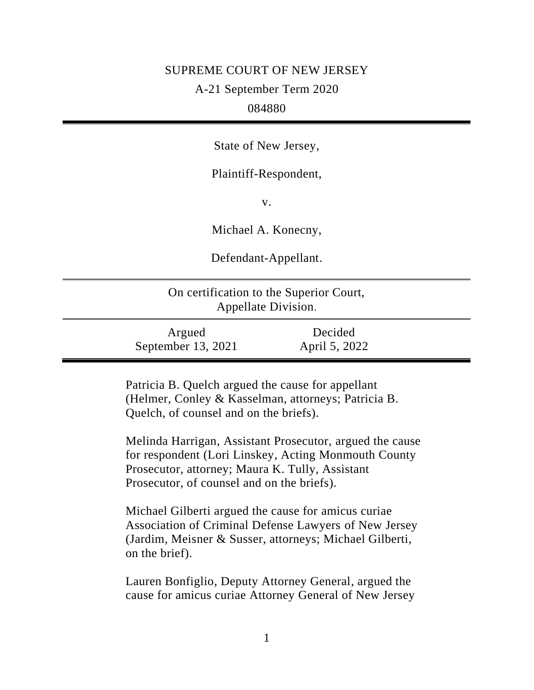# SUPREME COURT OF NEW JERSEY

A-21 September Term 2020

## 084880

State of New Jersey,

Plaintiff-Respondent,

v.

Michael A. Konecny,

Defendant-Appellant.

| On certification to the Superior Court,<br>Appellate Division. |                          |  |
|----------------------------------------------------------------|--------------------------|--|
| Argued<br>September 13, 2021                                   | Decided<br>April 5, 2022 |  |

Patricia B. Quelch argued the cause for appellant (Helmer, Conley & Kasselman, attorneys; Patricia B. Quelch, of counsel and on the briefs).

Melinda Harrigan, Assistant Prosecutor, argued the cause for respondent (Lori Linskey, Acting Monmouth County Prosecutor, attorney; Maura K. Tully, Assistant Prosecutor, of counsel and on the briefs).

Michael Gilberti argued the cause for amicus curiae Association of Criminal Defense Lawyers of New Jersey (Jardim, Meisner & Susser, attorneys; Michael Gilberti, on the brief).

Lauren Bonfiglio, Deputy Attorney General, argued the cause for amicus curiae Attorney General of New Jersey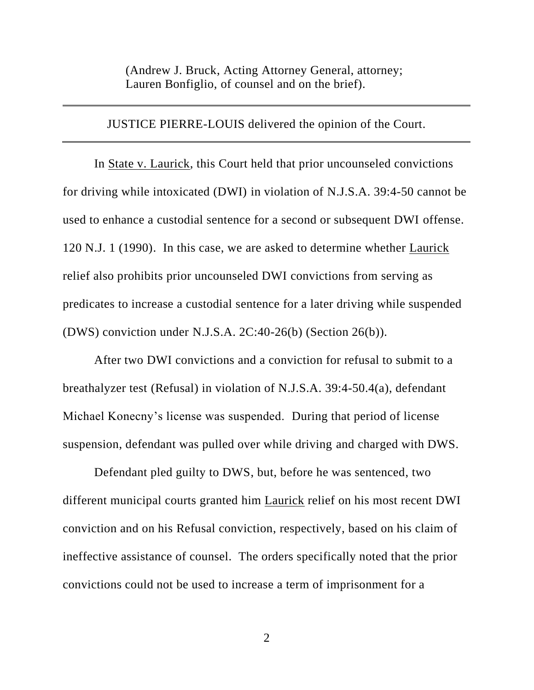(Andrew J. Bruck, Acting Attorney General, attorney; Lauren Bonfiglio, of counsel and on the brief).

JUSTICE PIERRE-LOUIS delivered the opinion of the Court.

In State v. Laurick, this Court held that prior uncounseled convictions for driving while intoxicated (DWI) in violation of N.J.S.A. 39:4-50 cannot be used to enhance a custodial sentence for a second or subsequent DWI offense. 120 N.J. 1 (1990). In this case, we are asked to determine whether Laurick relief also prohibits prior uncounseled DWI convictions from serving as predicates to increase a custodial sentence for a later driving while suspended (DWS) conviction under N.J.S.A. 2C:40-26(b) (Section 26(b)).

After two DWI convictions and a conviction for refusal to submit to a breathalyzer test (Refusal) in violation of N.J.S.A. 39:4-50.4(a), defendant Michael Konecny's license was suspended. During that period of license suspension, defendant was pulled over while driving and charged with DWS.

Defendant pled guilty to DWS, but, before he was sentenced, two different municipal courts granted him Laurick relief on his most recent DWI conviction and on his Refusal conviction, respectively, based on his claim of ineffective assistance of counsel. The orders specifically noted that the prior convictions could not be used to increase a term of imprisonment for a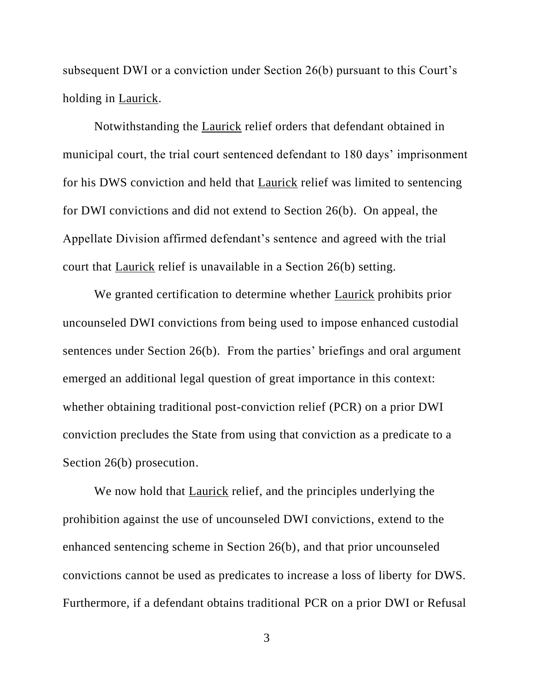subsequent DWI or a conviction under Section 26(b) pursuant to this Court's holding in Laurick.

Notwithstanding the Laurick relief orders that defendant obtained in municipal court, the trial court sentenced defendant to 180 days' imprisonment for his DWS conviction and held that Laurick relief was limited to sentencing for DWI convictions and did not extend to Section 26(b). On appeal, the Appellate Division affirmed defendant's sentence and agreed with the trial court that Laurick relief is unavailable in a Section 26(b) setting.

We granted certification to determine whether **Laurick** prohibits prior uncounseled DWI convictions from being used to impose enhanced custodial sentences under Section 26(b). From the parties' briefings and oral argument emerged an additional legal question of great importance in this context: whether obtaining traditional post-conviction relief (PCR) on a prior DWI conviction precludes the State from using that conviction as a predicate to a Section 26(b) prosecution.

We now hold that **Laurick** relief, and the principles underlying the prohibition against the use of uncounseled DWI convictions, extend to the enhanced sentencing scheme in Section 26(b), and that prior uncounseled convictions cannot be used as predicates to increase a loss of liberty for DWS. Furthermore, if a defendant obtains traditional PCR on a prior DWI or Refusal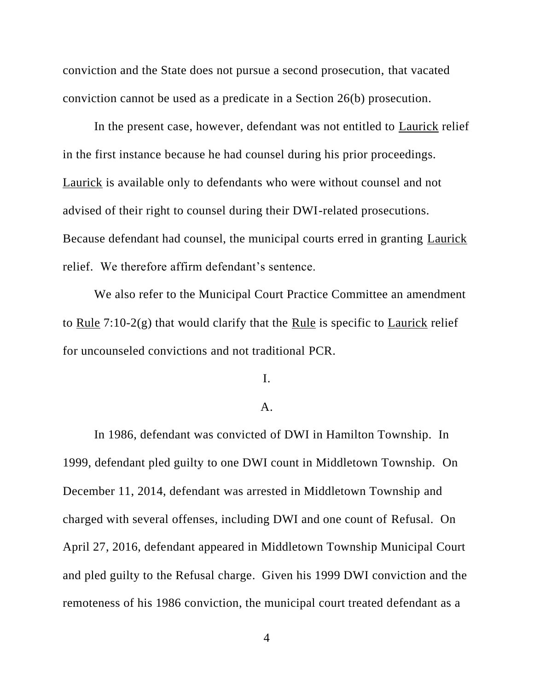conviction and the State does not pursue a second prosecution, that vacated conviction cannot be used as a predicate in a Section 26(b) prosecution.

In the present case, however, defendant was not entitled to Laurick relief in the first instance because he had counsel during his prior proceedings. Laurick is available only to defendants who were without counsel and not advised of their right to counsel during their DWI-related prosecutions. Because defendant had counsel, the municipal courts erred in granting Laurick relief. We therefore affirm defendant's sentence.

We also refer to the Municipal Court Practice Committee an amendment to Rule 7:10-2(g) that would clarify that the Rule is specific to Laurick relief for uncounseled convictions and not traditional PCR.

I.

## A.

In 1986, defendant was convicted of DWI in Hamilton Township. In 1999, defendant pled guilty to one DWI count in Middletown Township. On December 11, 2014, defendant was arrested in Middletown Township and charged with several offenses, including DWI and one count of Refusal. On April 27, 2016, defendant appeared in Middletown Township Municipal Court and pled guilty to the Refusal charge. Given his 1999 DWI conviction and the remoteness of his 1986 conviction, the municipal court treated defendant as a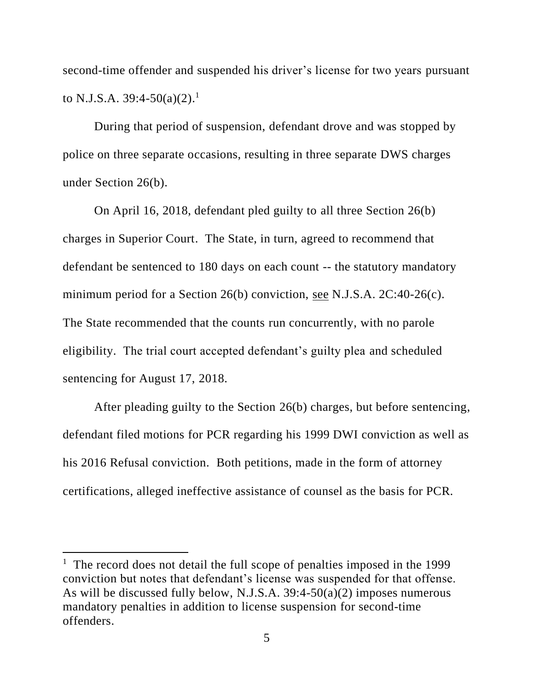second-time offender and suspended his driver's license for two years pursuant to N.J.S.A. 39:4-50(a)(2).<sup>1</sup>

During that period of suspension, defendant drove and was stopped by police on three separate occasions, resulting in three separate DWS charges under Section 26(b).

On April 16, 2018, defendant pled guilty to all three Section 26(b) charges in Superior Court. The State, in turn, agreed to recommend that defendant be sentenced to 180 days on each count -- the statutory mandatory minimum period for a Section 26(b) conviction, see N.J.S.A. 2C:40-26(c). The State recommended that the counts run concurrently, with no parole eligibility. The trial court accepted defendant's guilty plea and scheduled sentencing for August 17, 2018.

After pleading guilty to the Section 26(b) charges, but before sentencing, defendant filed motions for PCR regarding his 1999 DWI conviction as well as his 2016 Refusal conviction. Both petitions, made in the form of attorney certifications, alleged ineffective assistance of counsel as the basis for PCR.

<sup>&</sup>lt;sup>1</sup> The record does not detail the full scope of penalties imposed in the 1999 conviction but notes that defendant's license was suspended for that offense. As will be discussed fully below, N.J.S.A. 39:4-50(a)(2) imposes numerous mandatory penalties in addition to license suspension for second-time offenders.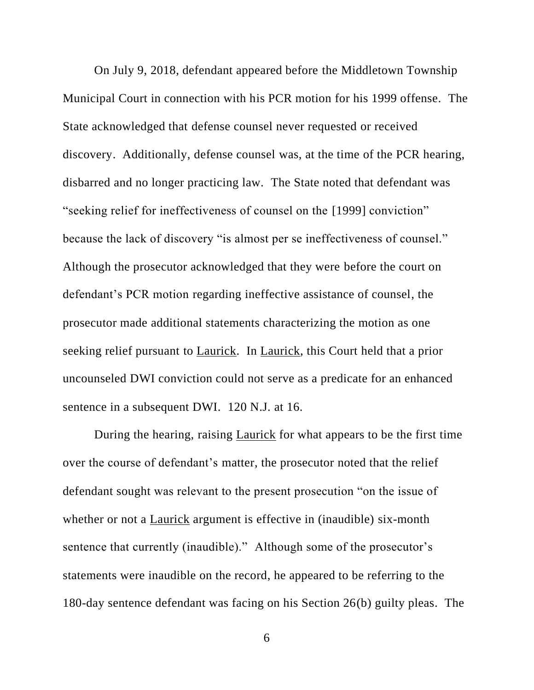On July 9, 2018, defendant appeared before the Middletown Township Municipal Court in connection with his PCR motion for his 1999 offense. The State acknowledged that defense counsel never requested or received discovery. Additionally, defense counsel was, at the time of the PCR hearing, disbarred and no longer practicing law. The State noted that defendant was "seeking relief for ineffectiveness of counsel on the [1999] conviction" because the lack of discovery "is almost per se ineffectiveness of counsel." Although the prosecutor acknowledged that they were before the court on defendant's PCR motion regarding ineffective assistance of counsel, the prosecutor made additional statements characterizing the motion as one seeking relief pursuant to Laurick. In Laurick, this Court held that a prior uncounseled DWI conviction could not serve as a predicate for an enhanced sentence in a subsequent DWI. 120 N.J. at 16.

During the hearing, raising Laurick for what appears to be the first time over the course of defendant's matter, the prosecutor noted that the relief defendant sought was relevant to the present prosecution "on the issue of whether or not a Laurick argument is effective in (inaudible) six-month sentence that currently (inaudible)." Although some of the prosecutor's statements were inaudible on the record, he appeared to be referring to the 180-day sentence defendant was facing on his Section 26(b) guilty pleas. The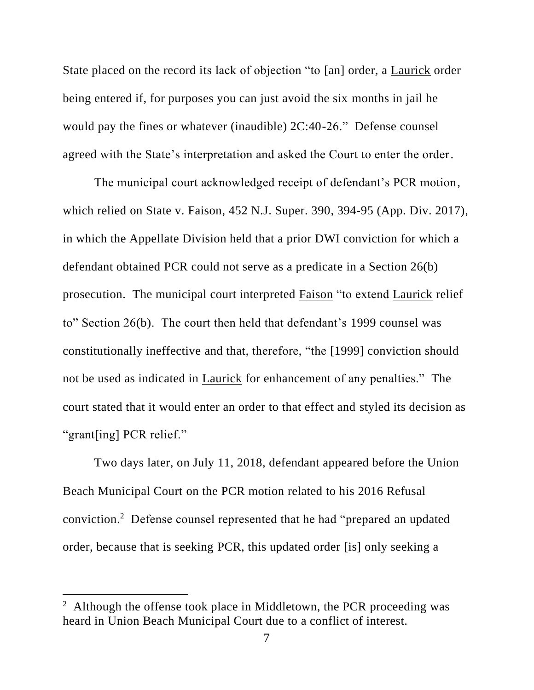State placed on the record its lack of objection "to [an] order, a Laurick order being entered if, for purposes you can just avoid the six months in jail he would pay the fines or whatever (inaudible) 2C:40-26." Defense counsel agreed with the State's interpretation and asked the Court to enter the order.

The municipal court acknowledged receipt of defendant's PCR motion, which relied on State v. Faison, 452 N.J. Super. 390, 394-95 (App. Div. 2017), in which the Appellate Division held that a prior DWI conviction for which a defendant obtained PCR could not serve as a predicate in a Section 26(b) prosecution. The municipal court interpreted Faison "to extend Laurick relief to" Section 26(b). The court then held that defendant's 1999 counsel was constitutionally ineffective and that, therefore, "the [1999] conviction should not be used as indicated in Laurick for enhancement of any penalties." The court stated that it would enter an order to that effect and styled its decision as "grant[ing] PCR relief."

Two days later, on July 11, 2018, defendant appeared before the Union Beach Municipal Court on the PCR motion related to his 2016 Refusal conviction. 2 Defense counsel represented that he had "prepared an updated order, because that is seeking PCR, this updated order [is] only seeking a

<sup>&</sup>lt;sup>2</sup> Although the offense took place in Middletown, the PCR proceeding was heard in Union Beach Municipal Court due to a conflict of interest.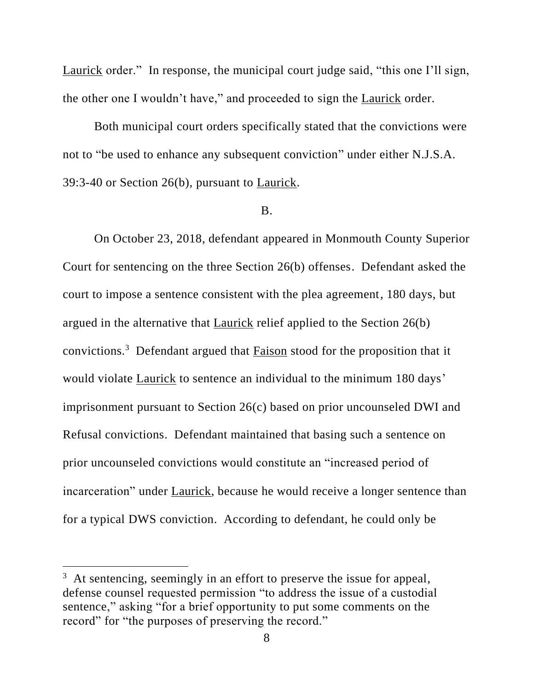Laurick order." In response, the municipal court judge said, "this one I'll sign, the other one I wouldn't have," and proceeded to sign the Laurick order.

Both municipal court orders specifically stated that the convictions were not to "be used to enhance any subsequent conviction" under either N.J.S.A. 39:3-40 or Section 26(b), pursuant to Laurick.

#### B.

On October 23, 2018, defendant appeared in Monmouth County Superior Court for sentencing on the three Section 26(b) offenses. Defendant asked the court to impose a sentence consistent with the plea agreement, 180 days, but argued in the alternative that Laurick relief applied to the Section 26(b) convictions.<sup>3</sup> Defendant argued that  $Faison$  stood for the proposition that it</u> would violate Laurick to sentence an individual to the minimum 180 days' imprisonment pursuant to Section 26(c) based on prior uncounseled DWI and Refusal convictions. Defendant maintained that basing such a sentence on prior uncounseled convictions would constitute an "increased period of incarceration" under Laurick, because he would receive a longer sentence than for a typical DWS conviction. According to defendant, he could only be

<sup>&</sup>lt;sup>3</sup> At sentencing, seemingly in an effort to preserve the issue for appeal, defense counsel requested permission "to address the issue of a custodial sentence," asking "for a brief opportunity to put some comments on the record" for "the purposes of preserving the record."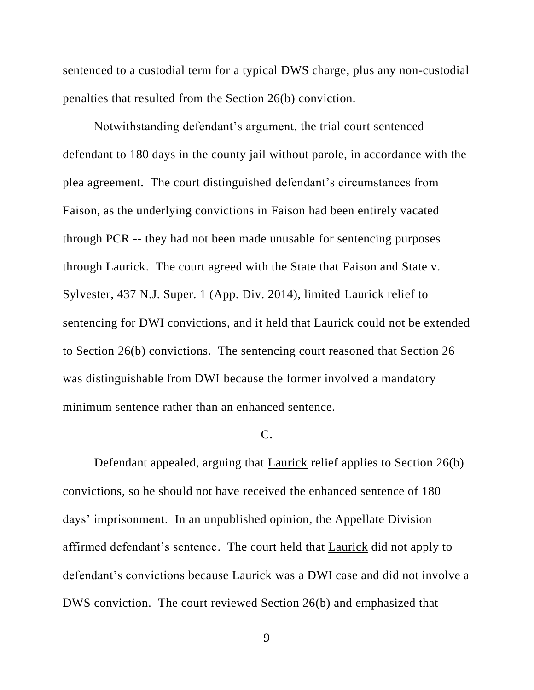sentenced to a custodial term for a typical DWS charge, plus any non-custodial penalties that resulted from the Section 26(b) conviction.

Notwithstanding defendant's argument, the trial court sentenced defendant to 180 days in the county jail without parole, in accordance with the plea agreement. The court distinguished defendant's circumstances from Faison, as the underlying convictions in Faison had been entirely vacated through PCR -- they had not been made unusable for sentencing purposes through Laurick. The court agreed with the State that Faison and State v. Sylvester, 437 N.J. Super. 1 (App. Div. 2014), limited Laurick relief to sentencing for DWI convictions, and it held that Laurick could not be extended to Section 26(b) convictions. The sentencing court reasoned that Section 26 was distinguishable from DWI because the former involved a mandatory minimum sentence rather than an enhanced sentence.

## C.

Defendant appealed, arguing that Laurick relief applies to Section 26(b) convictions, so he should not have received the enhanced sentence of 180 days' imprisonment. In an unpublished opinion, the Appellate Division affirmed defendant's sentence. The court held that Laurick did not apply to defendant's convictions because Laurick was a DWI case and did not involve a DWS conviction. The court reviewed Section 26(b) and emphasized that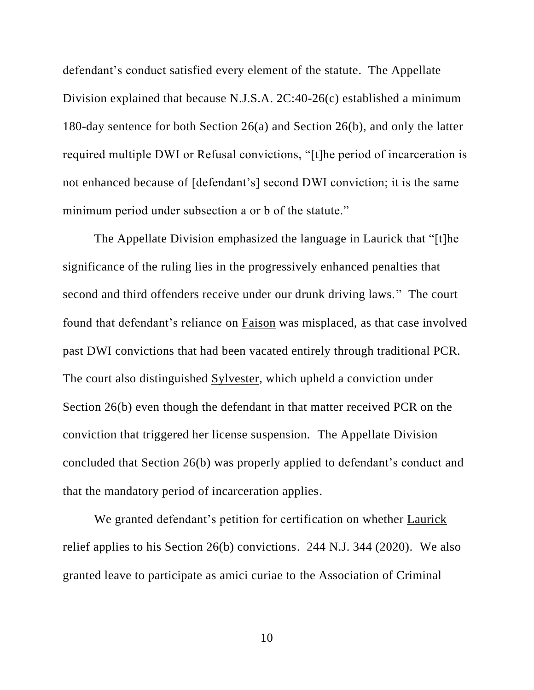defendant's conduct satisfied every element of the statute. The Appellate Division explained that because N.J.S.A. 2C:40-26(c) established a minimum 180-day sentence for both Section 26(a) and Section 26(b), and only the latter required multiple DWI or Refusal convictions, "[t]he period of incarceration is not enhanced because of [defendant's] second DWI conviction; it is the same minimum period under subsection a or b of the statute."

The Appellate Division emphasized the language in Laurick that "[t]he significance of the ruling lies in the progressively enhanced penalties that second and third offenders receive under our drunk driving laws." The court found that defendant's reliance on Faison was misplaced, as that case involved past DWI convictions that had been vacated entirely through traditional PCR. The court also distinguished Sylvester, which upheld a conviction under Section 26(b) even though the defendant in that matter received PCR on the conviction that triggered her license suspension. The Appellate Division concluded that Section 26(b) was properly applied to defendant's conduct and that the mandatory period of incarceration applies.

We granted defendant's petition for certification on whether Laurick relief applies to his Section 26(b) convictions. 244 N.J. 344 (2020). We also granted leave to participate as amici curiae to the Association of Criminal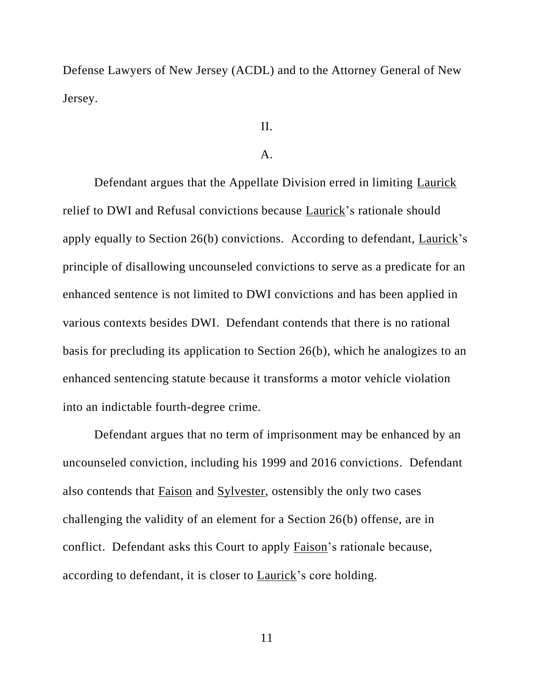Defense Lawyers of New Jersey (ACDL) and to the Attorney General of New Jersey.

# II.

# $\mathbf{A}$ .

Defendant argues that the Appellate Division erred in limiting Laurick relief to DWI and Refusal convictions because Laurick's rationale should apply equally to Section 26(b) convictions. According to defendant, Laurick's principle of disallowing uncounseled convictions to serve as a predicate for an enhanced sentence is not limited to DWI convictions and has been applied in various contexts besides DWI. Defendant contends that there is no rational basis for precluding its application to Section 26(b), which he analogizes to an enhanced sentencing statute because it transforms a motor vehicle violation into an indictable fourth-degree crime.

Defendant argues that no term of imprisonment may be enhanced by an uncounseled conviction, including his 1999 and 2016 convictions. Defendant also contends that Faison and Sylvester, ostensibly the only two cases challenging the validity of an element for a Section 26(b) offense, are in conflict. Defendant asks this Court to apply Faison's rationale because, according to defendant, it is closer to Laurick's core holding.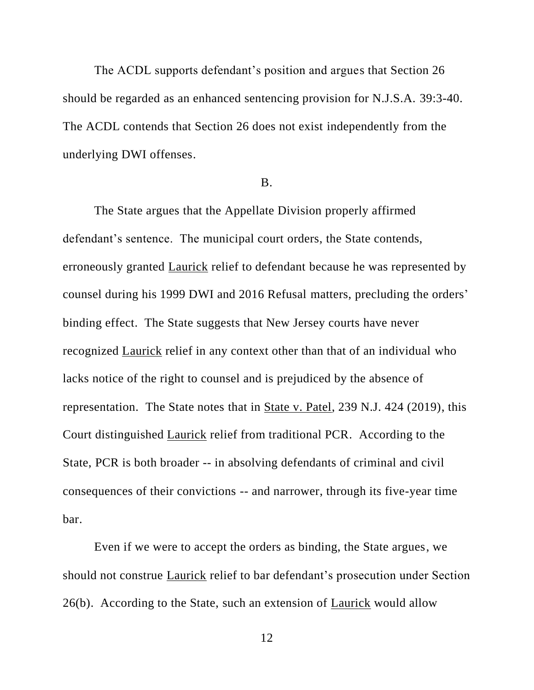The ACDL supports defendant's position and argues that Section 26 should be regarded as an enhanced sentencing provision for N.J.S.A. 39:3-40. The ACDL contends that Section 26 does not exist independently from the underlying DWI offenses.

### B.

The State argues that the Appellate Division properly affirmed defendant's sentence. The municipal court orders, the State contends, erroneously granted Laurick relief to defendant because he was represented by counsel during his 1999 DWI and 2016 Refusal matters, precluding the orders' binding effect. The State suggests that New Jersey courts have never recognized Laurick relief in any context other than that of an individual who lacks notice of the right to counsel and is prejudiced by the absence of representation. The State notes that in State v. Patel, 239 N.J. 424 (2019), this Court distinguished Laurick relief from traditional PCR. According to the State, PCR is both broader -- in absolving defendants of criminal and civil consequences of their convictions -- and narrower, through its five-year time bar.

Even if we were to accept the orders as binding, the State argues, we should not construe Laurick relief to bar defendant's prosecution under Section 26(b). According to the State, such an extension of Laurick would allow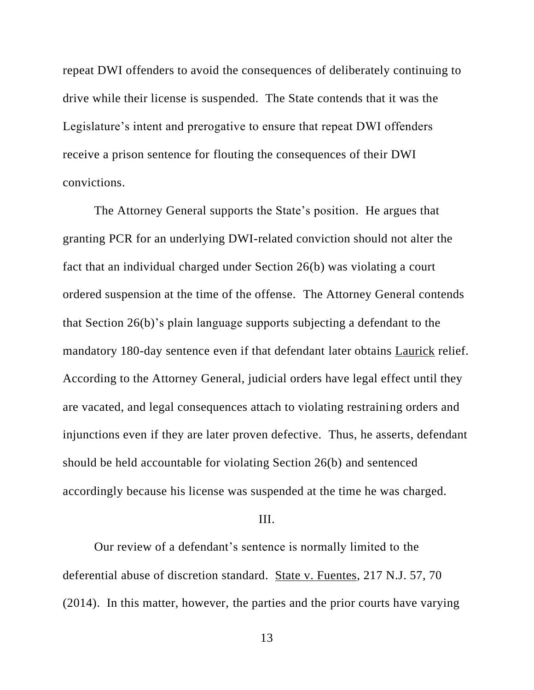repeat DWI offenders to avoid the consequences of deliberately continuing to drive while their license is suspended. The State contends that it was the Legislature's intent and prerogative to ensure that repeat DWI offenders receive a prison sentence for flouting the consequences of their DWI convictions.

The Attorney General supports the State's position. He argues that granting PCR for an underlying DWI-related conviction should not alter the fact that an individual charged under Section 26(b) was violating a court ordered suspension at the time of the offense. The Attorney General contends that Section 26(b)'s plain language supports subjecting a defendant to the mandatory 180-day sentence even if that defendant later obtains Laurick relief. According to the Attorney General, judicial orders have legal effect until they are vacated, and legal consequences attach to violating restraining orders and injunctions even if they are later proven defective. Thus, he asserts, defendant should be held accountable for violating Section 26(b) and sentenced accordingly because his license was suspended at the time he was charged.

### III.

Our review of a defendant's sentence is normally limited to the deferential abuse of discretion standard. State v. Fuentes, 217 N.J. 57, 70 (2014). In this matter, however, the parties and the prior courts have varying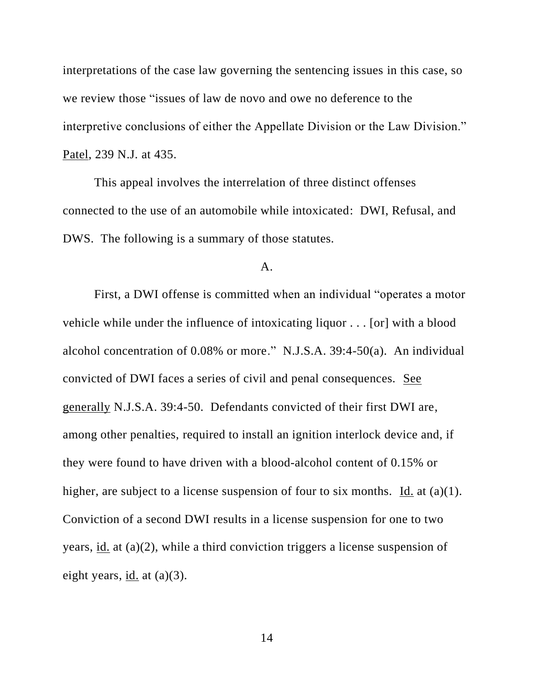interpretations of the case law governing the sentencing issues in this case, so we review those "issues of law de novo and owe no deference to the interpretive conclusions of either the Appellate Division or the Law Division." Patel, 239 N.J. at 435.

This appeal involves the interrelation of three distinct offenses connected to the use of an automobile while intoxicated: DWI, Refusal, and DWS. The following is a summary of those statutes.

#### A.

First, a DWI offense is committed when an individual "operates a motor vehicle while under the influence of intoxicating liquor . . . [or] with a blood alcohol concentration of 0.08% or more." N.J.S.A. 39:4-50(a). An individual convicted of DWI faces a series of civil and penal consequences. See generally N.J.S.A. 39:4-50. Defendants convicted of their first DWI are, among other penalties, required to install an ignition interlock device and, if they were found to have driven with a blood-alcohol content of 0.15% or higher, are subject to a license suspension of four to six months. Id. at  $(a)(1)$ . Conviction of a second DWI results in a license suspension for one to two years, id. at (a)(2), while a third conviction triggers a license suspension of eight years, id. at (a)(3).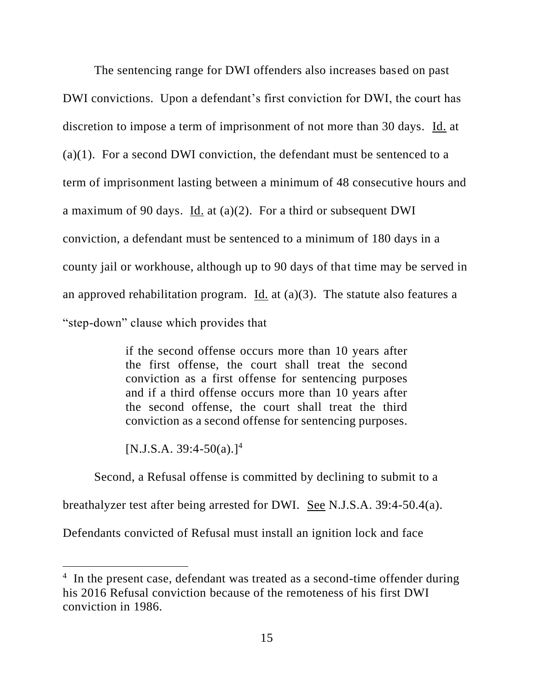The sentencing range for DWI offenders also increases based on past DWI convictions. Upon a defendant's first conviction for DWI, the court has discretion to impose a term of imprisonment of not more than 30 days. Id. at (a)(1). For a second DWI conviction, the defendant must be sentenced to a term of imprisonment lasting between a minimum of 48 consecutive hours and a maximum of 90 days. Id. at (a)(2). For a third or subsequent DWI conviction, a defendant must be sentenced to a minimum of 180 days in a county jail or workhouse, although up to 90 days of that time may be served in an approved rehabilitation program. Id. at (a)(3). The statute also features a "step-down" clause which provides that

> if the second offense occurs more than 10 years after the first offense, the court shall treat the second conviction as a first offense for sentencing purposes and if a third offense occurs more than 10 years after the second offense, the court shall treat the third conviction as a second offense for sentencing purposes.

 $[N.J.S.A. 39:4-50(a).]^{4}$ 

Second, a Refusal offense is committed by declining to submit to a

breathalyzer test after being arrested for DWI. See N.J.S.A. 39:4-50.4(a).

Defendants convicted of Refusal must install an ignition lock and face

<sup>&</sup>lt;sup>4</sup> In the present case, defendant was treated as a second-time offender during his 2016 Refusal conviction because of the remoteness of his first DWI conviction in 1986.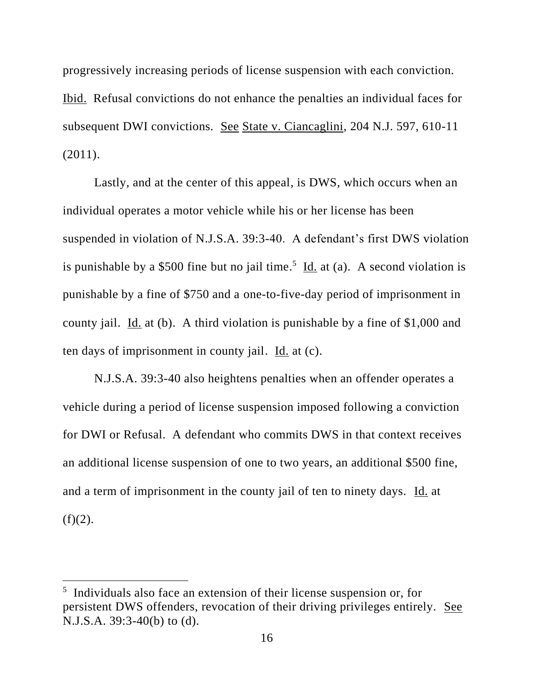progressively increasing periods of license suspension with each conviction. Ibid. Refusal convictions do not enhance the penalties an individual faces for subsequent DWI convictions. See State v. Ciancaglini, 204 N.J. 597, 610-11 (2011).

Lastly, and at the center of this appeal, is DWS, which occurs when an individual operates a motor vehicle while his or her license has been suspended in violation of N.J.S.A. 39:3-40. A defendant's first DWS violation is punishable by a \$500 fine but no jail time.<sup>5</sup> Id. at (a). A second violation is punishable by a fine of \$750 and a one-to-five-day period of imprisonment in county jail. Id. at (b). A third violation is punishable by a fine of \$1,000 and ten days of imprisonment in county jail. Id. at (c).

N.J.S.A. 39:3-40 also heightens penalties when an offender operates a vehicle during a period of license suspension imposed following a conviction for DWI or Refusal. A defendant who commits DWS in that context receives an additional license suspension of one to two years, an additional \$500 fine, and a term of imprisonment in the county jail of ten to ninety days. Id. at  $(f)(2)$ .

<sup>&</sup>lt;sup>5</sup> Individuals also face an extension of their license suspension or, for persistent DWS offenders, revocation of their driving privileges entirely. See N.J.S.A. 39:3-40(b) to (d).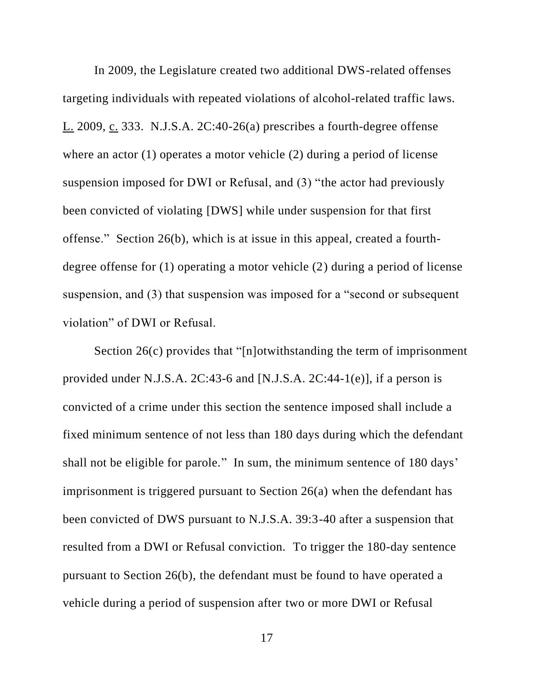In 2009, the Legislature created two additional DWS-related offenses targeting individuals with repeated violations of alcohol-related traffic laws. L. 2009, c. 333. N.J.S.A. 2C:40-26(a) prescribes a fourth-degree offense where an actor (1) operates a motor vehicle (2) during a period of license suspension imposed for DWI or Refusal, and (3) "the actor had previously been convicted of violating [DWS] while under suspension for that first offense." Section 26(b), which is at issue in this appeal, created a fourthdegree offense for (1) operating a motor vehicle (2) during a period of license suspension, and (3) that suspension was imposed for a "second or subsequent violation" of DWI or Refusal.

Section 26(c) provides that "[n]otwithstanding the term of imprisonment provided under N.J.S.A.  $2C:43-6$  and [N.J.S.A.  $2C:44-1(e)$ ], if a person is convicted of a crime under this section the sentence imposed shall include a fixed minimum sentence of not less than 180 days during which the defendant shall not be eligible for parole." In sum, the minimum sentence of 180 days' imprisonment is triggered pursuant to Section 26(a) when the defendant has been convicted of DWS pursuant to N.J.S.A. 39:3-40 after a suspension that resulted from a DWI or Refusal conviction. To trigger the 180-day sentence pursuant to Section 26(b), the defendant must be found to have operated a vehicle during a period of suspension after two or more DWI or Refusal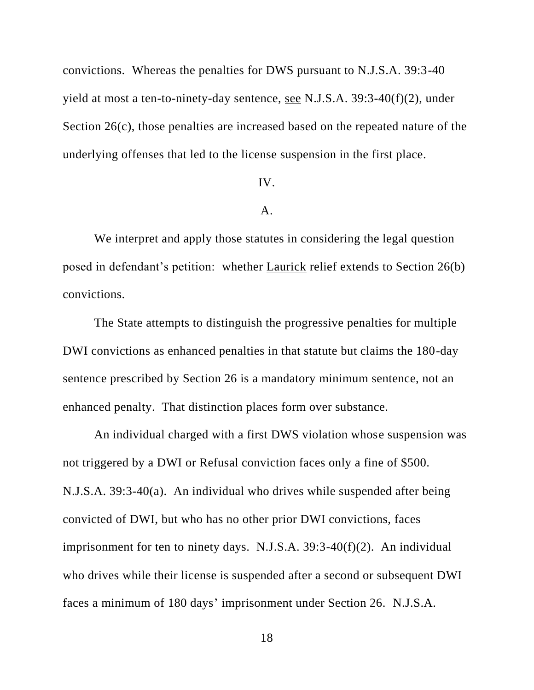convictions. Whereas the penalties for DWS pursuant to N.J.S.A. 39:3-40 yield at most a ten-to-ninety-day sentence, see N.J.S.A. 39:3-40(f)(2), under Section 26(c), those penalties are increased based on the repeated nature of the underlying offenses that led to the license suspension in the first place.

### IV.

### A.

We interpret and apply those statutes in considering the legal question posed in defendant's petition: whether Laurick relief extends to Section 26(b) convictions.

The State attempts to distinguish the progressive penalties for multiple DWI convictions as enhanced penalties in that statute but claims the 180-day sentence prescribed by Section 26 is a mandatory minimum sentence, not an enhanced penalty. That distinction places form over substance.

An individual charged with a first DWS violation whose suspension was not triggered by a DWI or Refusal conviction faces only a fine of \$500. N.J.S.A. 39:3-40(a). An individual who drives while suspended after being convicted of DWI, but who has no other prior DWI convictions, faces imprisonment for ten to ninety days. N.J.S.A. 39:3-40(f)(2). An individual who drives while their license is suspended after a second or subsequent DWI faces a minimum of 180 days' imprisonment under Section 26. N.J.S.A.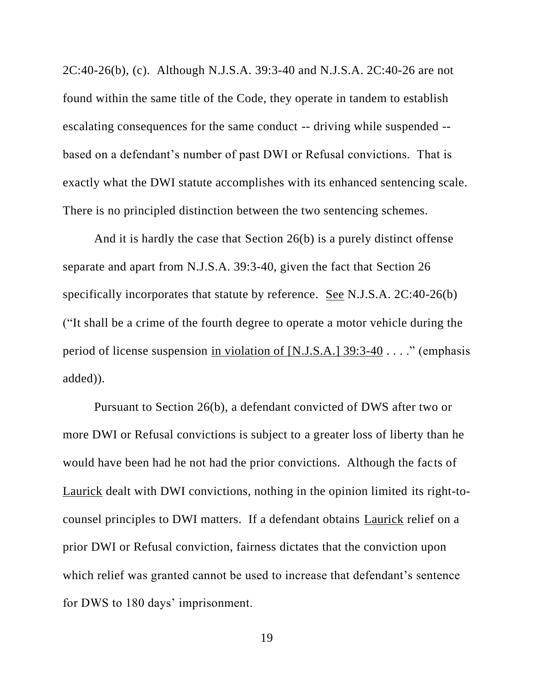2C:40-26(b), (c). Although N.J.S.A. 39:3-40 and N.J.S.A. 2C:40-26 are not found within the same title of the Code, they operate in tandem to establish escalating consequences for the same conduct -- driving while suspended - based on a defendant's number of past DWI or Refusal convictions. That is exactly what the DWI statute accomplishes with its enhanced sentencing scale. There is no principled distinction between the two sentencing schemes.

And it is hardly the case that Section 26(b) is a purely distinct offense separate and apart from N.J.S.A. 39:3-40, given the fact that Section 26 specifically incorporates that statute by reference. See N.J.S.A. 2C:40-26(b) ("It shall be a crime of the fourth degree to operate a motor vehicle during the period of license suspension in violation of [N.J.S.A.] 39:3-40 . . . ." (emphasis added)).

Pursuant to Section 26(b), a defendant convicted of DWS after two or more DWI or Refusal convictions is subject to a greater loss of liberty than he would have been had he not had the prior convictions. Although the facts of Laurick dealt with DWI convictions, nothing in the opinion limited its right-tocounsel principles to DWI matters. If a defendant obtains Laurick relief on a prior DWI or Refusal conviction, fairness dictates that the conviction upon which relief was granted cannot be used to increase that defendant's sentence for DWS to 180 days' imprisonment.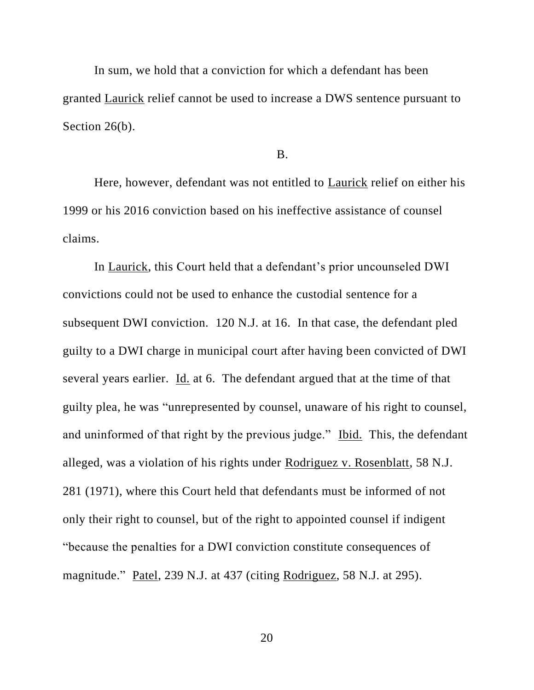In sum, we hold that a conviction for which a defendant has been granted Laurick relief cannot be used to increase a DWS sentence pursuant to Section 26(b).

B.

Here, however, defendant was not entitled to Laurick relief on either his 1999 or his 2016 conviction based on his ineffective assistance of counsel claims.

In Laurick, this Court held that a defendant's prior uncounseled DWI convictions could not be used to enhance the custodial sentence for a subsequent DWI conviction. 120 N.J. at 16. In that case, the defendant pled guilty to a DWI charge in municipal court after having been convicted of DWI several years earlier. Id. at 6. The defendant argued that at the time of that guilty plea, he was "unrepresented by counsel, unaware of his right to counsel, and uninformed of that right by the previous judge." Ibid. This, the defendant alleged, was a violation of his rights under Rodriguez v. Rosenblatt, 58 N.J. 281 (1971), where this Court held that defendants must be informed of not only their right to counsel, but of the right to appointed counsel if indigent "because the penalties for a DWI conviction constitute consequences of magnitude." Patel, 239 N.J. at 437 (citing Rodriguez, 58 N.J. at 295).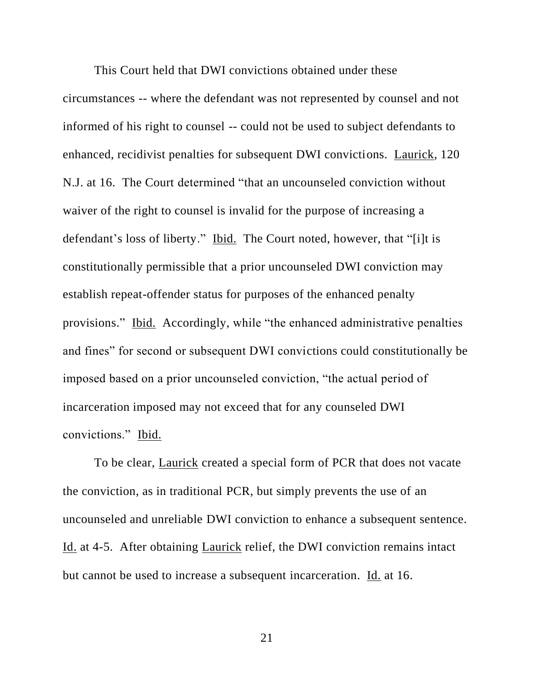This Court held that DWI convictions obtained under these circumstances -- where the defendant was not represented by counsel and not informed of his right to counsel -- could not be used to subject defendants to enhanced, recidivist penalties for subsequent DWI convictions. Laurick, 120 N.J. at 16. The Court determined "that an uncounseled conviction without waiver of the right to counsel is invalid for the purpose of increasing a defendant's loss of liberty." Ibid. The Court noted, however, that "[i]t is constitutionally permissible that a prior uncounseled DWI conviction may establish repeat-offender status for purposes of the enhanced penalty provisions." Ibid. Accordingly, while "the enhanced administrative penalties and fines" for second or subsequent DWI convictions could constitutionally be imposed based on a prior uncounseled conviction, "the actual period of incarceration imposed may not exceed that for any counseled DWI convictions." Ibid.

To be clear, Laurick created a special form of PCR that does not vacate the conviction, as in traditional PCR, but simply prevents the use of an uncounseled and unreliable DWI conviction to enhance a subsequent sentence. Id. at 4-5. After obtaining Laurick relief, the DWI conviction remains intact but cannot be used to increase a subsequent incarceration. Id. at 16.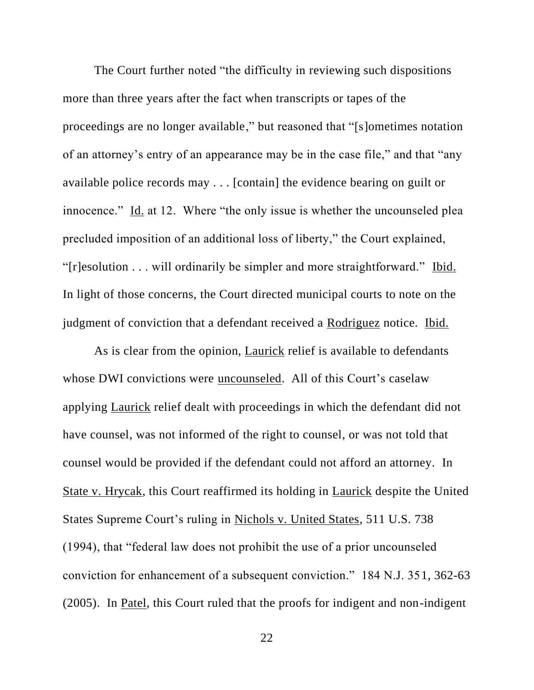The Court further noted "the difficulty in reviewing such dispositions more than three years after the fact when transcripts or tapes of the proceedings are no longer available," but reasoned that "[s]ometimes notation of an attorney's entry of an appearance may be in the case file," and that "any available police records may . . . [contain] the evidence bearing on guilt or innocence." Id. at 12. Where "the only issue is whether the uncounseled plea precluded imposition of an additional loss of liberty," the Court explained, "[r]esolution . . . will ordinarily be simpler and more straightforward." Ibid. In light of those concerns, the Court directed municipal courts to note on the judgment of conviction that a defendant received a Rodriguez notice. Ibid.

As is clear from the opinion, Laurick relief is available to defendants whose DWI convictions were uncounseled. All of this Court's caselaw applying Laurick relief dealt with proceedings in which the defendant did not have counsel, was not informed of the right to counsel, or was not told that counsel would be provided if the defendant could not afford an attorney. In State v. Hrycak, this Court reaffirmed its holding in Laurick despite the United States Supreme Court's ruling in Nichols v. United States, 511 U.S. 738 (1994), that "federal law does not prohibit the use of a prior uncounseled conviction for enhancement of a subsequent conviction." 184 N.J. 351, 362-63 (2005). In Patel, this Court ruled that the proofs for indigent and non-indigent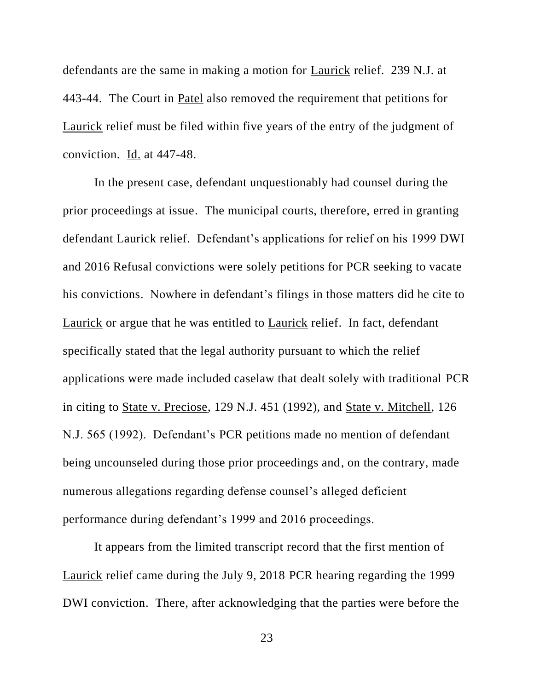defendants are the same in making a motion for Laurick relief. 239 N.J. at 443-44. The Court in Patel also removed the requirement that petitions for Laurick relief must be filed within five years of the entry of the judgment of conviction. Id. at 447-48.

In the present case, defendant unquestionably had counsel during the prior proceedings at issue. The municipal courts, therefore, erred in granting defendant Laurick relief. Defendant's applications for relief on his 1999 DWI and 2016 Refusal convictions were solely petitions for PCR seeking to vacate his convictions. Nowhere in defendant's filings in those matters did he cite to Laurick or argue that he was entitled to Laurick relief. In fact, defendant specifically stated that the legal authority pursuant to which the relief applications were made included caselaw that dealt solely with traditional PCR in citing to State v. Preciose, 129 N.J. 451 (1992), and State v. Mitchell, 126 N.J. 565 (1992). Defendant's PCR petitions made no mention of defendant being uncounseled during those prior proceedings and, on the contrary, made numerous allegations regarding defense counsel's alleged deficient performance during defendant's 1999 and 2016 proceedings.

It appears from the limited transcript record that the first mention of Laurick relief came during the July 9, 2018 PCR hearing regarding the 1999 DWI conviction. There, after acknowledging that the parties were before the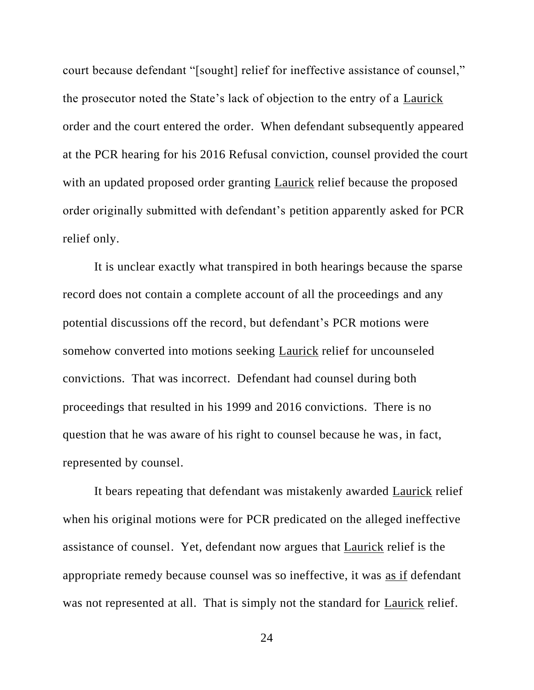court because defendant "[sought] relief for ineffective assistance of counsel," the prosecutor noted the State's lack of objection to the entry of a Laurick order and the court entered the order. When defendant subsequently appeared at the PCR hearing for his 2016 Refusal conviction, counsel provided the court with an updated proposed order granting Laurick relief because the proposed order originally submitted with defendant's petition apparently asked for PCR relief only.

It is unclear exactly what transpired in both hearings because the sparse record does not contain a complete account of all the proceedings and any potential discussions off the record, but defendant's PCR motions were somehow converted into motions seeking Laurick relief for uncounseled convictions. That was incorrect. Defendant had counsel during both proceedings that resulted in his 1999 and 2016 convictions. There is no question that he was aware of his right to counsel because he was, in fact, represented by counsel.

It bears repeating that defendant was mistakenly awarded Laurick relief when his original motions were for PCR predicated on the alleged ineffective assistance of counsel. Yet, defendant now argues that Laurick relief is the appropriate remedy because counsel was so ineffective, it was as if defendant was not represented at all. That is simply not the standard for Laurick relief.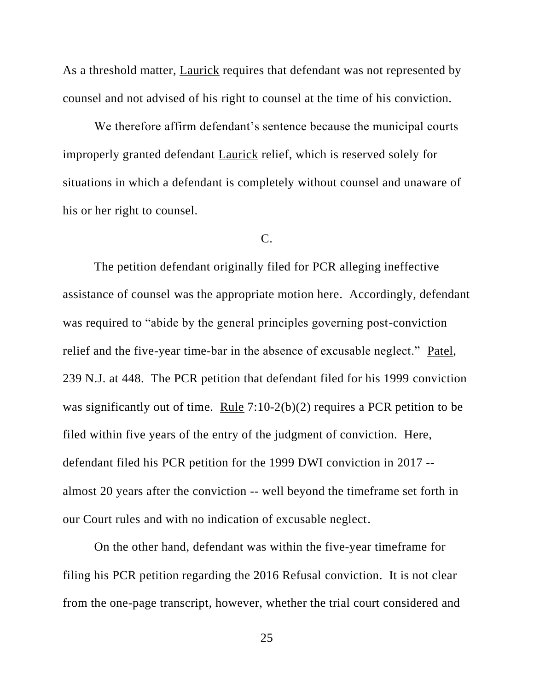As a threshold matter, Laurick requires that defendant was not represented by counsel and not advised of his right to counsel at the time of his conviction.

We therefore affirm defendant's sentence because the municipal courts improperly granted defendant Laurick relief, which is reserved solely for situations in which a defendant is completely without counsel and unaware of his or her right to counsel.

# C.

The petition defendant originally filed for PCR alleging ineffective assistance of counsel was the appropriate motion here. Accordingly, defendant was required to "abide by the general principles governing post-conviction relief and the five-year time-bar in the absence of excusable neglect." Patel, 239 N.J. at 448. The PCR petition that defendant filed for his 1999 conviction was significantly out of time. Rule 7:10-2(b)(2) requires a PCR petition to be filed within five years of the entry of the judgment of conviction. Here, defendant filed his PCR petition for the 1999 DWI conviction in 2017 - almost 20 years after the conviction -- well beyond the timeframe set forth in our Court rules and with no indication of excusable neglect.

On the other hand, defendant was within the five-year timeframe for filing his PCR petition regarding the 2016 Refusal conviction. It is not clear from the one-page transcript, however, whether the trial court considered and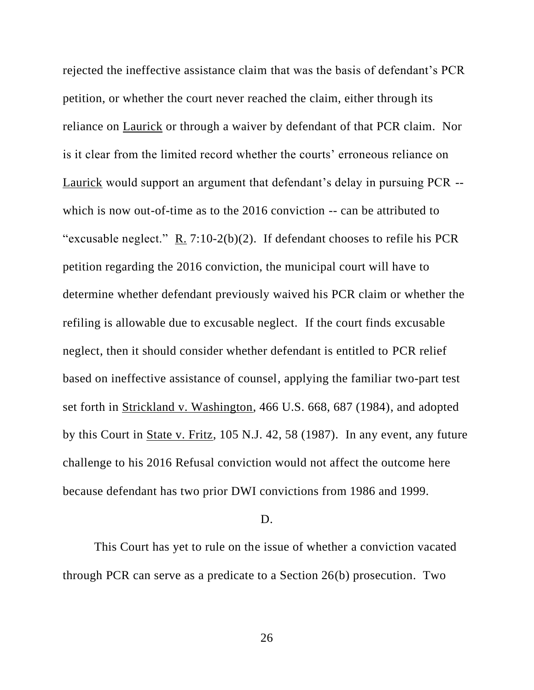rejected the ineffective assistance claim that was the basis of defendant's PCR petition, or whether the court never reached the claim, either through its reliance on Laurick or through a waiver by defendant of that PCR claim. Nor is it clear from the limited record whether the courts' erroneous reliance on Laurick would support an argument that defendant's delay in pursuing PCR - which is now out-of-time as to the 2016 conviction -- can be attributed to "excusable neglect." R. 7:10-2(b)(2). If defendant chooses to refile his PCR petition regarding the 2016 conviction, the municipal court will have to determine whether defendant previously waived his PCR claim or whether the refiling is allowable due to excusable neglect. If the court finds excusable neglect, then it should consider whether defendant is entitled to PCR relief based on ineffective assistance of counsel, applying the familiar two-part test set forth in Strickland v. Washington, 466 U.S. 668, 687 (1984), and adopted by this Court in State v. Fritz, 105 N.J. 42, 58 (1987). In any event, any future challenge to his 2016 Refusal conviction would not affect the outcome here because defendant has two prior DWI convictions from 1986 and 1999.

### D.

This Court has yet to rule on the issue of whether a conviction vacated through PCR can serve as a predicate to a Section 26(b) prosecution. Two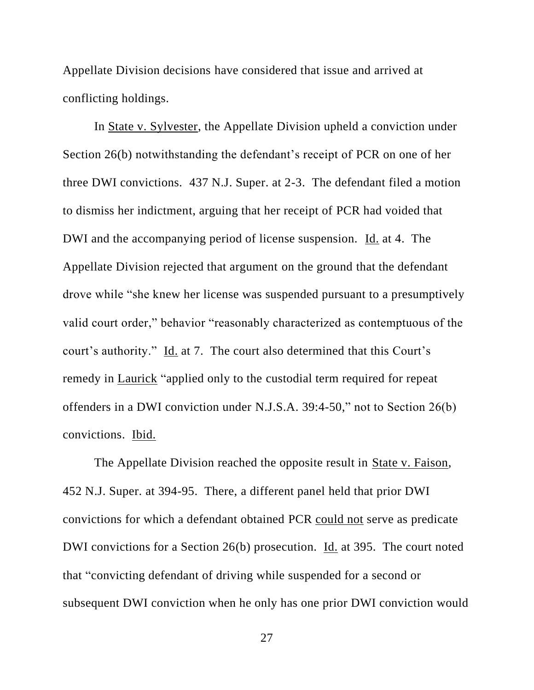Appellate Division decisions have considered that issue and arrived at conflicting holdings.

In State v. Sylvester, the Appellate Division upheld a conviction under Section 26(b) notwithstanding the defendant's receipt of PCR on one of her three DWI convictions. 437 N.J. Super. at 2-3. The defendant filed a motion to dismiss her indictment, arguing that her receipt of PCR had voided that DWI and the accompanying period of license suspension. Id. at 4. The Appellate Division rejected that argument on the ground that the defendant drove while "she knew her license was suspended pursuant to a presumptively valid court order," behavior "reasonably characterized as contemptuous of the court's authority." Id. at 7. The court also determined that this Court's remedy in Laurick "applied only to the custodial term required for repeat offenders in a DWI conviction under N.J.S.A. 39:4-50," not to Section 26(b) convictions. Ibid.

The Appellate Division reached the opposite result in State v. Faison, 452 N.J. Super. at 394-95. There, a different panel held that prior DWI convictions for which a defendant obtained PCR could not serve as predicate DWI convictions for a Section 26(b) prosecution. Id. at 395. The court noted that "convicting defendant of driving while suspended for a second or subsequent DWI conviction when he only has one prior DWI conviction would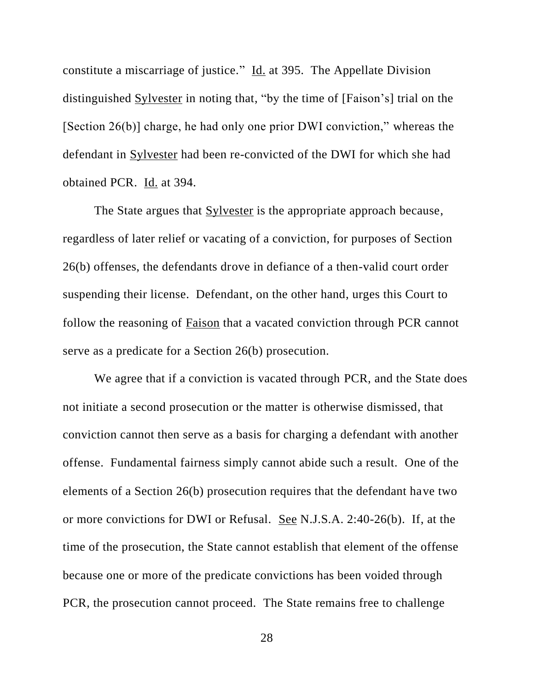constitute a miscarriage of justice." Id. at 395. The Appellate Division distinguished Sylvester in noting that, "by the time of [Faison's] trial on the [Section 26(b)] charge, he had only one prior DWI conviction," whereas the defendant in Sylvester had been re-convicted of the DWI for which she had obtained PCR. Id. at 394.

The State argues that Sylvester is the appropriate approach because, regardless of later relief or vacating of a conviction, for purposes of Section 26(b) offenses, the defendants drove in defiance of a then-valid court order suspending their license. Defendant, on the other hand, urges this Court to follow the reasoning of Faison that a vacated conviction through PCR cannot serve as a predicate for a Section 26(b) prosecution.

We agree that if a conviction is vacated through PCR, and the State does not initiate a second prosecution or the matter is otherwise dismissed, that conviction cannot then serve as a basis for charging a defendant with another offense. Fundamental fairness simply cannot abide such a result. One of the elements of a Section 26(b) prosecution requires that the defendant have two or more convictions for DWI or Refusal. See N.J.S.A. 2:40-26(b). If, at the time of the prosecution, the State cannot establish that element of the offense because one or more of the predicate convictions has been voided through PCR, the prosecution cannot proceed. The State remains free to challenge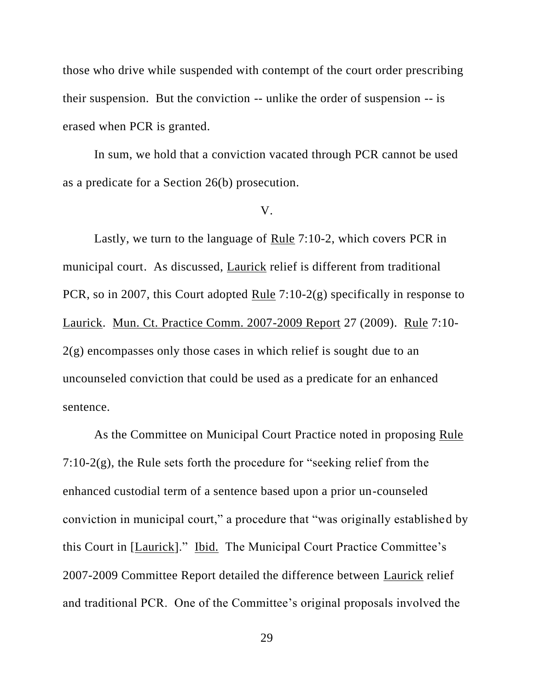those who drive while suspended with contempt of the court order prescribing their suspension. But the conviction -- unlike the order of suspension -- is erased when PCR is granted.

In sum, we hold that a conviction vacated through PCR cannot be used as a predicate for a Section 26(b) prosecution.

#### V.

Lastly, we turn to the language of Rule 7:10-2, which covers PCR in municipal court. As discussed, Laurick relief is different from traditional PCR, so in 2007, this Court adopted Rule 7:10-2(g) specifically in response to Laurick. Mun. Ct. Practice Comm. 2007-2009 Report 27 (2009). Rule 7:10- 2(g) encompasses only those cases in which relief is sought due to an uncounseled conviction that could be used as a predicate for an enhanced sentence.

As the Committee on Municipal Court Practice noted in proposing Rule 7:10-2(g), the Rule sets forth the procedure for "seeking relief from the enhanced custodial term of a sentence based upon a prior un-counseled conviction in municipal court," a procedure that "was originally established by this Court in [Laurick]." Ibid. The Municipal Court Practice Committee's 2007-2009 Committee Report detailed the difference between Laurick relief and traditional PCR. One of the Committee's original proposals involved the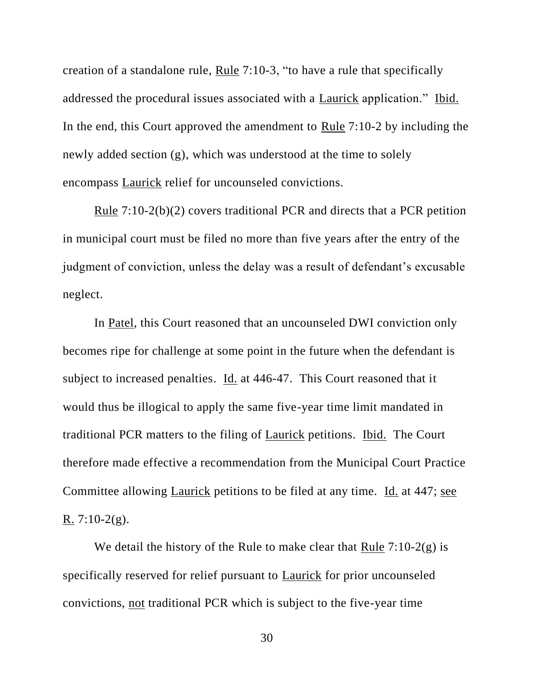creation of a standalone rule, Rule 7:10-3, "to have a rule that specifically addressed the procedural issues associated with a Laurick application." Ibid. In the end, this Court approved the amendment to Rule 7:10-2 by including the newly added section (g), which was understood at the time to solely encompass Laurick relief for uncounseled convictions.

Rule 7:10-2(b)(2) covers traditional PCR and directs that a PCR petition in municipal court must be filed no more than five years after the entry of the judgment of conviction, unless the delay was a result of defendant's excusable neglect.

In Patel, this Court reasoned that an uncounseled DWI conviction only becomes ripe for challenge at some point in the future when the defendant is subject to increased penalties. Id. at 446-47. This Court reasoned that it would thus be illogical to apply the same five-year time limit mandated in traditional PCR matters to the filing of Laurick petitions. Ibid. The Court therefore made effective a recommendation from the Municipal Court Practice Committee allowing *Laurick* petitions to be filed at any time. Id. at 447; see R.  $7:10-2(g)$ .

We detail the history of the Rule to make clear that Rule  $7:10-2(g)$  is specifically reserved for relief pursuant to Laurick for prior uncounseled convictions, not traditional PCR which is subject to the five-year time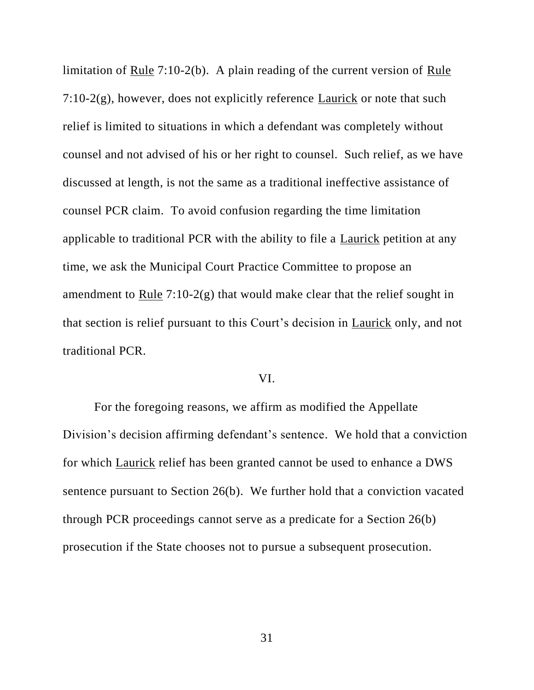limitation of Rule 7:10-2(b). A plain reading of the current version of Rule  $7:10-2(g)$ , however, does not explicitly reference Laurick or note that such relief is limited to situations in which a defendant was completely without counsel and not advised of his or her right to counsel. Such relief, as we have discussed at length, is not the same as a traditional ineffective assistance of counsel PCR claim. To avoid confusion regarding the time limitation applicable to traditional PCR with the ability to file a Laurick petition at any time, we ask the Municipal Court Practice Committee to propose an amendment to Rule  $7:10-2(g)$  that would make clear that the relief sought in that section is relief pursuant to this Court's decision in Laurick only, and not traditional PCR.

### VI.

For the foregoing reasons, we affirm as modified the Appellate Division's decision affirming defendant's sentence. We hold that a conviction for which Laurick relief has been granted cannot be used to enhance a DWS sentence pursuant to Section 26(b). We further hold that a conviction vacated through PCR proceedings cannot serve as a predicate for a Section 26(b) prosecution if the State chooses not to pursue a subsequent prosecution.